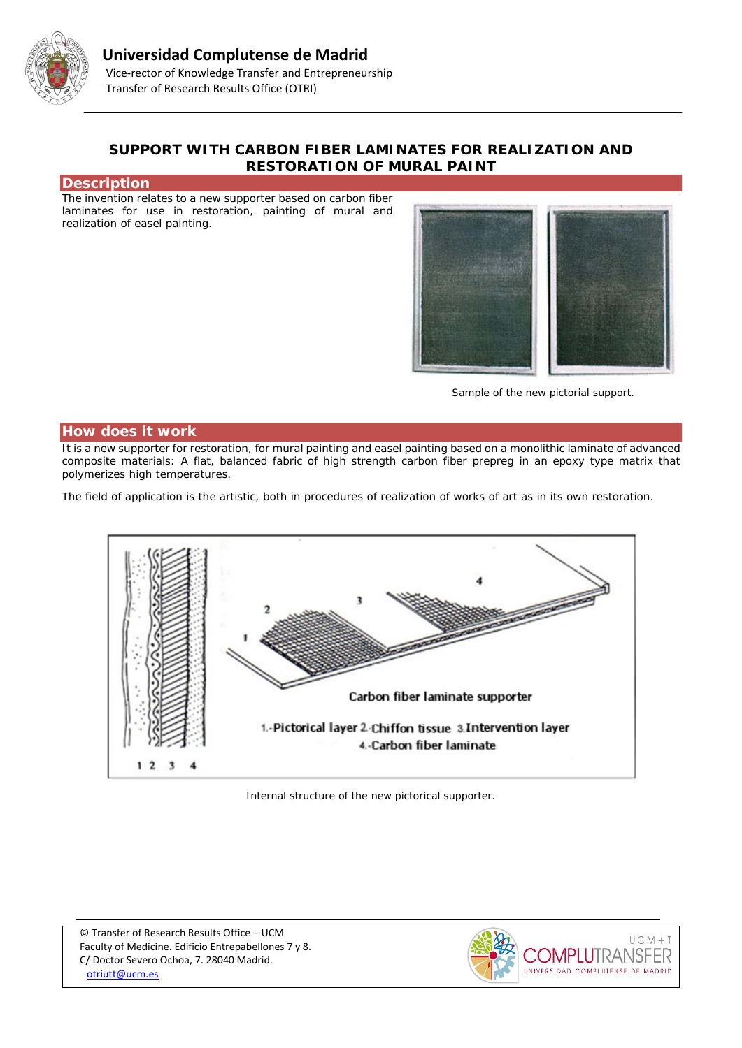

## **SUPPORT WITH CARBON FIBER LAMINATES FOR REALIZATION AND RESTORATION OF MURAL PAINT**

### **Description**

The invention relates to a new supporter based on carbon fiber laminates for use in restoration, painting of mural and realization of easel painting.



*Sample of the new pictorial support.*

#### **How does it work**

It is a new supporter for restoration, for mural painting and easel painting based on a monolithic laminate of advanced composite materials: A flat, balanced fabric of high strength carbon fiber prepreg in an epoxy type matrix that polymerizes high temperatures.

The field of application is the artistic, both in procedures of realization of works of art as in its own restoration.



*Internal structure of the new pictorical supporter.*

© Transfer of Research Results Office – UCM Faculty of Medicine. Edificio Entrepabellones 7 y 8. C/ Doctor Severo Ochoa, 7. 28040 Madrid. [otriutt@ucm.es](mailto:otriutt@ucm.es;mhuertas@art.ucm.es?subject=SUPPORT%20WITH%20CARBON%20FIBER%20LAMINATES%20FOR%20REALIZATION%20AND%20RESTORATION%20OF%20MURAL%20PAINT)